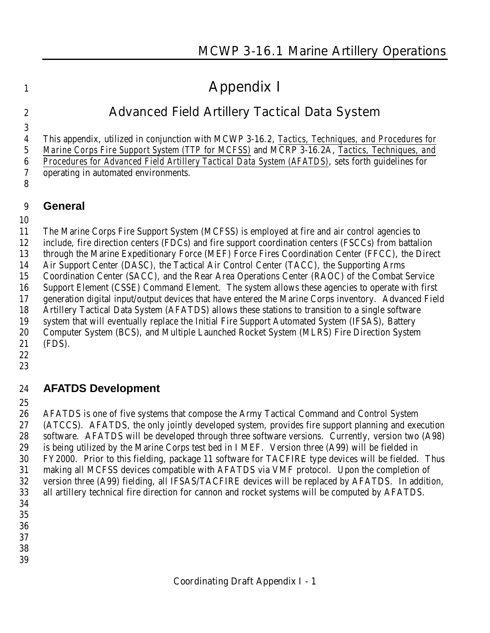# **Appendix I**

# **Advanced Field Artillery Tactical Data System**

This appendix, utilized in conjunction with MCWP 3-16.2, *Tactics, Techniques, and Procedures for*

 *Marine Corps Fire Support System (TTP for MCFSS)* and MCRP 3-16.2A, *Tactics, Techniques, and Procedures for Advanced Field Artillery Tactical Data System (AFATDS)*, sets forth guidelines for

- operating in automated environments.
- 

#### **General**

The Marine Corps Fire Support System (MCFSS) is employed at fire and air control agencies to

include, fire direction centers (FDCs) and fire support coordination centers (FSCCs) from battalion

through the Marine Expeditionary Force (MEF) Force Fires Coordination Center (FFCC), the Direct

Air Support Center (DASC), the Tactical Air Control Center (TACC), the Supporting Arms

Coordination Center (SACC), and the Rear Area Operations Center (RAOC) of the Combat Service

Support Element (CSSE) Command Element. The system allows these agencies to operate with first

generation digital input/output devices that have entered the Marine Corps inventory. Advanced Field

Artillery Tactical Data System (AFATDS) allows these stations to transition to a single software

 system that will eventually replace the Initial Fire Support Automated System (IFSAS), Battery Computer System (BCS), and Multiple Launched Rocket System (MLRS) Fire Direction System

- (FDS).
- 
- 

# **AFATDS Development**

 AFATDS is one of five systems that compose the Army Tactical Command and Control System (ATCCS). AFATDS, the only jointly developed system, provides fire support planning and execution software. AFATDS will be developed through three software versions. Currently, version two (A98) is being utilized by the Marine Corps test bed in I MEF. Version three (A99) will be fielded in FY2000. Prior to this fielding, package 11 software for TACFIRE type devices will be fielded. Thus making all MCFSS devices compatible with AFATDS via VMF protocol. Upon the completion of version three (A99) fielding, all IFSAS/TACFIRE devices will be replaced by AFATDS. In addition, all artillery technical fire direction for cannon and rocket systems will be computed by AFATDS.

- 
- 
- 
- 
-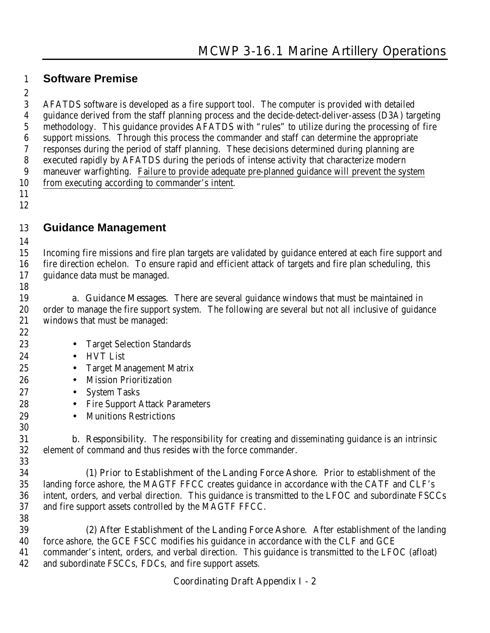#### **Software Premise**

 AFATDS software is developed as a fire support tool. The computer is provided with detailed guidance derived from the staff planning process and the decide-detect-deliver-assess (D3A) targeting methodology. This guidance provides AFATDS with "rules" to utilize during the processing of fire support missions. Through this process the commander and staff can determine the appropriate responses during the period of staff planning. These decisions determined during planning are executed rapidly by AFATDS during the periods of intense activity that characterize modern maneuver warfighting. Failure to provide adequate pre-planned guidance will prevent the system from executing according to commander's intent.

 

### **Guidance Management**

 Incoming fire missions and fire plan targets are validated by guidance entered at each fire support and fire direction echelon. To ensure rapid and efficient attack of targets and fire plan scheduling, this guidance data must be managed. 

 **a. Guidance Messages**. There are several guidance windows that must be maintained in order to manage the fire support system. The following are several but not all inclusive of guidance windows that must be managed:

- 23 Target Selection Standards
- HVT List
- Target Management Matrix
- Mission Prioritization
- System Tasks
- 28 Fire Support Attack Parameters
- Munitions Restrictions

 **b. Responsibility**. The responsibility for creating and disseminating guidance is an intrinsic element of command and thus resides with the force commander. 

**(1) Prior to Establishment of the Landing Force Ashore**. Prior to establishment of the landing force ashore, the MAGTF FFCC creates guidance in accordance with the CATF and CLF's intent, orders, and verbal direction. This guidance is transmitted to the LFOC and subordinate FSCCs and fire support assets controlled by the MAGTF FFCC.

**(2) After Establishment of the Landing Force Ashore**. After establishment of the landing force ashore, the GCE FSCC modifies his guidance in accordance with the CLF and GCE commander's intent, orders, and verbal direction. This guidance is transmitted to the LFOC (afloat) and subordinate FSCCs, FDCs, and fire support assets.

#### **Coordinating Draft Appendix I - 2**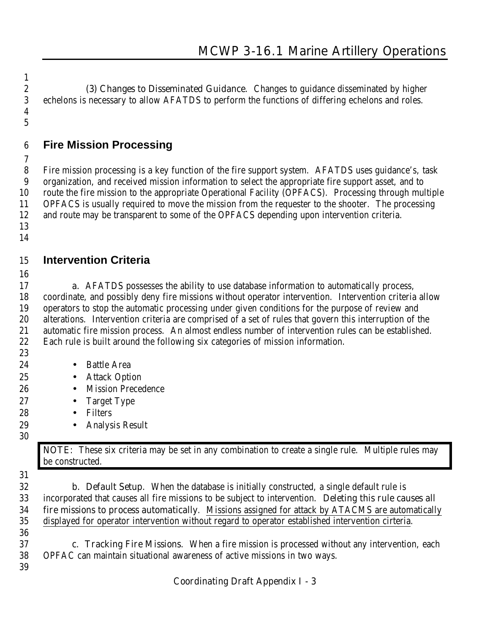**(3) Changes to Disseminated Guidance**. Changes to guidance disseminated by higher echelons is necessary to allow AFATDS to perform the functions of differing echelons and roles. 

# **Fire Mission Processing**

 Fire mission processing is a key function of the fire support system. AFATDS uses guidance's, task organization, and received mission information to select the appropriate fire support asset, and to route the fire mission to the appropriate Operational Facility (OPFACS). Processing through multiple OPFACS is usually required to move the mission from the requester to the shooter. The processing and route may be transparent to some of the OPFACS depending upon intervention criteria. 

# **Intervention Criteria**

 **a.** AFATDS possesses the ability to use database information to automatically process, coordinate, and possibly deny fire missions without operator intervention. Intervention criteria allow operators to stop the automatic processing under given conditions for the purpose of review and alterations. Intervention criteria are comprised of a set of rules that govern this interruption of the automatic fire mission process. An almost endless number of intervention rules can be established. Each rule is built around the following six categories of mission information.

- 
- 24 Battle Area
- Attack Option
- Mission Precedence
- Target Type
- Filters
- Analysis Result
- 

**NOTE**: These six criteria may be set in any combination to create a single rule. Multiple rules may be constructed.

 **b. Default Setup**. When the database is initially constructed, a single default rule is incorporated that causes all fire missions to be subject to intervention. **Deleting this rule causes all fire missions to process automatically**. Missions assigned for attack by ATACMS are automatically displayed for operator intervention without regard to operator established intervention cirteria.

 **c. Tracking Fire Missions**. When a fire mission is processed without any intervention, each OPFAC can maintain situational awareness of active missions in two ways. 

#### **Coordinating Draft Appendix I - 3**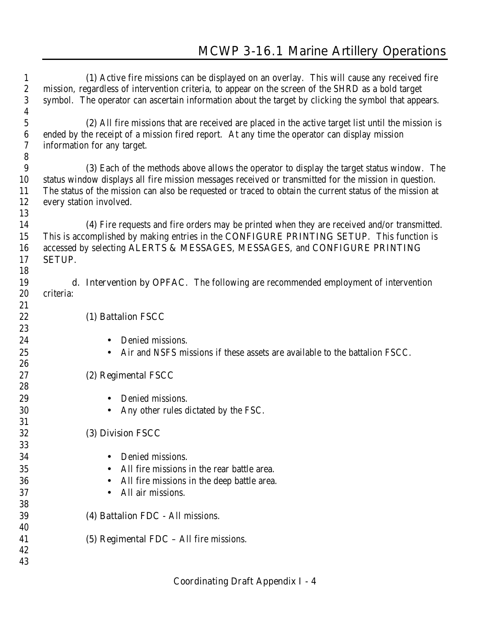| $\mathbf{1}$<br>$\sqrt{2}$<br>3 | (1) Active fire missions can be displayed on an overlay. This will cause any received fire<br>mission, regardless of intervention criteria, to appear on the screen of the SHRD as a bold target<br>symbol. The operator can ascertain information about the target by clicking the symbol that appears. |
|---------------------------------|----------------------------------------------------------------------------------------------------------------------------------------------------------------------------------------------------------------------------------------------------------------------------------------------------------|
| $\boldsymbol{4}$                |                                                                                                                                                                                                                                                                                                          |
| $\overline{5}$                  | (2) All fire missions that are received are placed in the active target list until the mission is                                                                                                                                                                                                        |
| $\boldsymbol{6}$                | ended by the receipt of a mission fired report. At any time the operator can display mission                                                                                                                                                                                                             |
| $\boldsymbol{7}$                | information for any target.                                                                                                                                                                                                                                                                              |
| $\boldsymbol{8}$                |                                                                                                                                                                                                                                                                                                          |
| 9                               | (3) Each of the methods above allows the operator to display the target status window. The                                                                                                                                                                                                               |
| 10<br>11                        | status window displays all fire mission messages received or transmitted for the mission in question.                                                                                                                                                                                                    |
| 12                              | The status of the mission can also be requested or traced to obtain the current status of the mission at<br>every station involved.                                                                                                                                                                      |
| 13                              |                                                                                                                                                                                                                                                                                                          |
| 14                              | (4) Fire requests and fire orders may be printed when they are received and/or transmitted.                                                                                                                                                                                                              |
| 15                              | This is accomplished by making entries in the CONFIGURE PRINTING SETUP. This function is                                                                                                                                                                                                                 |
| 16                              | accessed by selecting ALERTS & MESSAGES, MESSAGES, and CONFIGURE PRINTING                                                                                                                                                                                                                                |
| 17                              | <b>SETUP.</b>                                                                                                                                                                                                                                                                                            |
| 18                              |                                                                                                                                                                                                                                                                                                          |
| 19                              | <b>d. Intervention by OPFAC.</b> The following are recommended employment of intervention                                                                                                                                                                                                                |
| 20                              | criteria:                                                                                                                                                                                                                                                                                                |
| 21                              |                                                                                                                                                                                                                                                                                                          |
| 22                              | (1) Battalion FSCC                                                                                                                                                                                                                                                                                       |
| 23                              |                                                                                                                                                                                                                                                                                                          |
| 24                              | Denied missions.                                                                                                                                                                                                                                                                                         |
| 25                              | Air and NSFS missions if these assets are available to the battalion FSCC.                                                                                                                                                                                                                               |
| 26                              |                                                                                                                                                                                                                                                                                                          |
| 27                              | (2) Regimental FSCC                                                                                                                                                                                                                                                                                      |
| 28                              |                                                                                                                                                                                                                                                                                                          |
| 29                              | Denied missions.                                                                                                                                                                                                                                                                                         |
| 30                              | Any other rules dictated by the FSC.                                                                                                                                                                                                                                                                     |
| 31                              |                                                                                                                                                                                                                                                                                                          |
| 32<br>33                        | (3) Division FSCC                                                                                                                                                                                                                                                                                        |
| 34                              | Denied missions.                                                                                                                                                                                                                                                                                         |
| 35                              | All fire missions in the rear battle area.                                                                                                                                                                                                                                                               |
| 36                              | All fire missions in the deep battle area.                                                                                                                                                                                                                                                               |
| 37                              | All air missions.                                                                                                                                                                                                                                                                                        |
| 38                              |                                                                                                                                                                                                                                                                                                          |
| 39                              | (4) Battalion FDC - All missions.                                                                                                                                                                                                                                                                        |
| 40                              |                                                                                                                                                                                                                                                                                                          |
| 41                              | (5) Regimental $FDC - All$ fire missions.                                                                                                                                                                                                                                                                |
| 42                              |                                                                                                                                                                                                                                                                                                          |
| 43                              |                                                                                                                                                                                                                                                                                                          |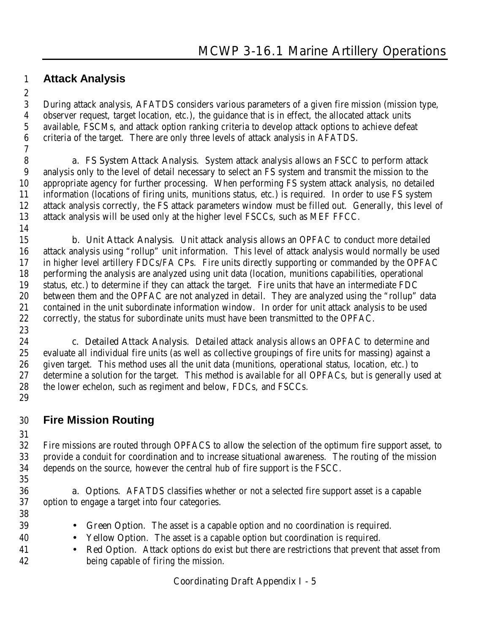#### **Attack Analysis**

 During attack analysis, AFATDS considers various parameters of a given fire mission (mission type, observer request, target location, etc.), the guidance that is in effect, the allocated attack units available, FSCMs, and attack option ranking criteria to develop attack options to achieve defeat criteria of the target. There are only three levels of attack analysis in AFATDS.

 **a. FS System Attack Analysis**. System attack analysis allows an FSCC to perform attack analysis only to the level of detail necessary to select an FS system and transmit the mission to the appropriate agency for further processing. When performing FS system attack analysis, no detailed information (locations of firing units, munitions status, etc.) is required. In order to use FS system attack analysis correctly, the FS attack parameters window must be filled out. Generally, this level of attack analysis will be used only at the higher level FSCCs, such as MEF FFCC.

 **b. Unit Attack Analysis**. Unit attack analysis allows an OPFAC to conduct more detailed attack analysis using "rollup" unit information. This level of attack analysis would normally be used in higher level artillery FDCs/FA CPs. Fire units directly supporting or commanded by the OPFAC performing the analysis are analyzed using unit data (location, munitions capabilities, operational status, etc.) to determine if they can attack the target. Fire units that have an intermediate FDC between them and the OPFAC are not analyzed in detail. They are analyzed using the "rollup" data contained in the unit subordinate information window. In order for unit attack analysis to be used correctly, the status for subordinate units must have been transmitted to the OPFAC.

 **c. Detailed Attack Analysis**. Detailed attack analysis allows an OPFAC to determine and evaluate all individual fire units (as well as collective groupings of fire units for massing) against a given target. This method uses all the unit data (munitions, operational status, location, etc.) to determine a solution for the target. This method is available for all OPFACs, but is generally used at the lower echelon, such as regiment and below, FDCs, and FSCCs. 

### **Fire Mission Routing**

 Fire missions are routed through OPFACS to allow the selection of the optimum fire support asset, to provide a conduit for coordination and to increase situational awareness. The routing of the mission depends on the source, however the central hub of fire support is the FSCC. 

 **a. Options**. AFATDS classifies whether or not a selected fire support asset is a capable option to engage a target into four categories.

- 
- **Green Option**. The asset is a capable option and no coordination is required.
- **Yellow Option**. The asset is a capable option but coordination is required.
- **Red Option**. Attack options do exist but there are restrictions that prevent that asset from being capable of firing the mission.

#### **Coordinating Draft Appendix I - 5**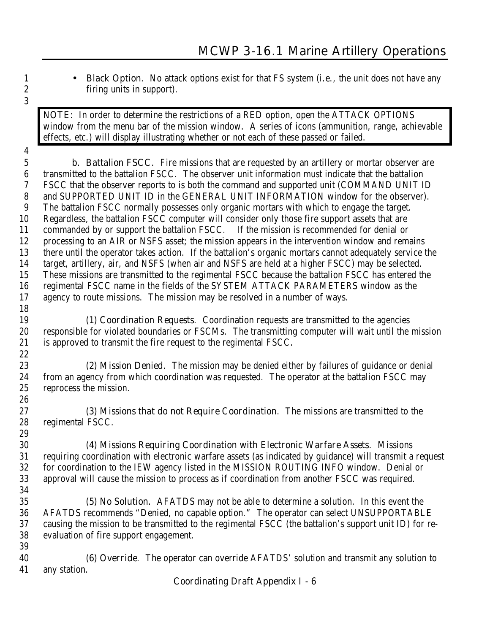**1** • **Black Option**. No attack options exist for that FS system (i.e., the unit does not have any firing units in support).

**NOTE**: In order to determine the restrictions of a RED option, open the ATTACK OPTIONS window from the menu bar of the mission window. A series of icons (ammunition, range, achievable effects, etc.) will display illustrating whether or not each of these passed or failed.

 **b**. **Battalion FSCC**. Fire missions that are requested by an artillery or mortar observer are transmitted to the battalion FSCC. The observer unit information must indicate that the battalion FSCC that the observer reports to is both the command and supported unit (COMMAND UNIT ID and SUPPORTED UNIT ID in the GENERAL UNIT INFORMATION window for the observer). The battalion FSCC normally possesses only organic mortars with which to engage the target. Regardless, the battalion FSCC computer will consider only those fire support assets that are commanded by or support the battalion FSCC. If the mission is recommended for denial or processing to an AIR or NSFS asset; the mission appears in the intervention window and remains there until the operator takes action. If the battalion's organic mortars cannot adequately service the target, artillery, air, and NSFS (when air and NSFS are held at a higher FSCC) may be selected. These missions are transmitted to the regimental FSCC because the battalion FSCC has entered the regimental FSCC name in the fields of the SYSTEM ATTACK PARAMETERS window as the agency to route missions. The mission may be resolved in a number of ways. 

**(1) Coordination Requests**. Coordination requests are transmitted to the agencies responsible for violated boundaries or FSCMs. The transmitting computer will wait until the mission is approved to transmit the fire request to the regimental FSCC. 

**(2) Mission Denied**. The mission may be denied either by failures of guidance or denial from an agency from which coordination was requested. The operator at the battalion FSCC may reprocess the mission.

**(3) Missions that do not Require Coordination**. The missions are transmitted to the regimental FSCC.

**(4) Missions Requiring Coordination with Electronic Warfare Assets**. Missions requiring coordination with electronic warfare assets (as indicated by guidance) will transmit a request for coordination to the IEW agency listed in the MISSION ROUTING INFO window. Denial or approval will cause the mission to process as if coordination from another FSCC was required.

**(5) No Solution**. AFATDS may not be able to determine a solution. In this event the AFATDS recommends "Denied, no capable option." The operator can select UNSUPPORTABLE causing the mission to be transmitted to the regimental FSCC (the battalion's support unit ID) for re- evaluation of fire support engagement. 

**(6) Override**. The operator can override AFATDS' solution and transmit any solution to any station.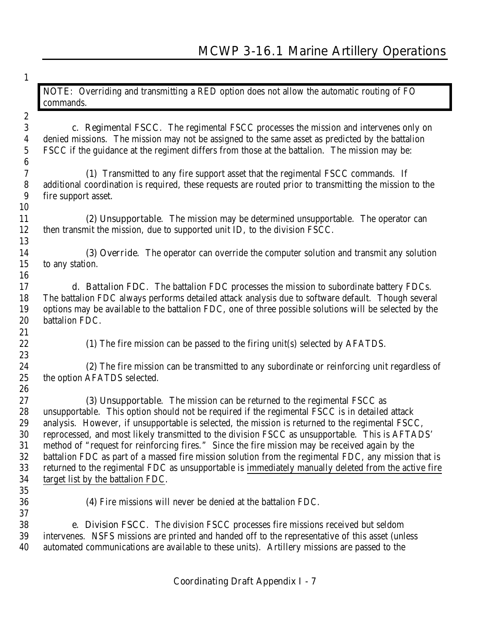| $\mathbf{1}$     |                                                                                                         |
|------------------|---------------------------------------------------------------------------------------------------------|
|                  | NOTE: Overriding and transmitting a RED option does not allow the automatic routing of FO<br>commands.  |
| $\boldsymbol{2}$ |                                                                                                         |
| 3                | c. Regimental FSCC. The regimental FSCC processes the mission and intervenes only on                    |
| $\boldsymbol{4}$ | denied missions. The mission may not be assigned to the same asset as predicted by the battalion        |
| $\bf 5$          | FSCC if the guidance at the regiment differs from those at the battalion. The mission may be:           |
| 6                |                                                                                                         |
| 7                | (1) Transmitted to any fire support asset that the regimental FSCC commands. If                         |
| ${\bf 8}$        | additional coordination is required, these requests are routed prior to transmitting the mission to the |
| 9                | fire support asset.                                                                                     |
| 10               |                                                                                                         |
| 11               | (2) Unsupportable. The mission may be determined unsupportable. The operator can                        |
| 12               | then transmit the mission, due to supported unit ID, to the division FSCC.                              |
| 13               |                                                                                                         |
| 14               | (3) Override. The operator can override the computer solution and transmit any solution                 |
| 15               | to any station.                                                                                         |
| 16               |                                                                                                         |
| 17               | <b>d. Battalion FDC.</b> The battalion FDC processes the mission to subordinate battery FDCs.           |
| 18               | The battalion FDC always performs detailed attack analysis due to software default. Though several      |
| 19               | options may be available to the battalion FDC, one of three possible solutions will be selected by the  |
| 20               | battalion FDC.                                                                                          |
| 21               |                                                                                                         |
| 22               | (1) The fire mission can be passed to the firing unit(s) selected by AFATDS.                            |
| 23               |                                                                                                         |
| 24               | (2) The fire mission can be transmitted to any subordinate or reinforcing unit regardless of            |
| 25               | the option AFATDS selected.                                                                             |
| 26               |                                                                                                         |
| 27               | (3) Unsupportable. The mission can be returned to the regimental FSCC as                                |
| 28               | unsupportable. This option should not be required if the regimental FSCC is in detailed attack          |
| 29               | analysis. However, if unsupportable is selected, the mission is returned to the regimental FSCC,        |
| 30               | reprocessed, and most likely transmitted to the division FSCC as unsupportable. This is AFTADS'         |
| 31               | method of "request for reinforcing fires." Since the fire mission may be received again by the          |
| $32\,$           | battalion FDC as part of a massed fire mission solution from the regimental FDC, any mission that is    |
| 33               | returned to the regimental FDC as unsupportable is immediately manually deleted from the active fire    |
| 34               | target list by the battalion FDC.                                                                       |
| 35               |                                                                                                         |
| 36               | (4) Fire missions will never be denied at the battalion FDC.                                            |
| 37               |                                                                                                         |
| 38               | <b>e. Division FSCC.</b> The division FSCC processes fire missions received but seldom                  |
| 39               | intervenes. NSFS missions are printed and handed off to the representative of this asset (unless        |
| 40               | automated communications are available to these units). Artillery missions are passed to the            |
|                  |                                                                                                         |